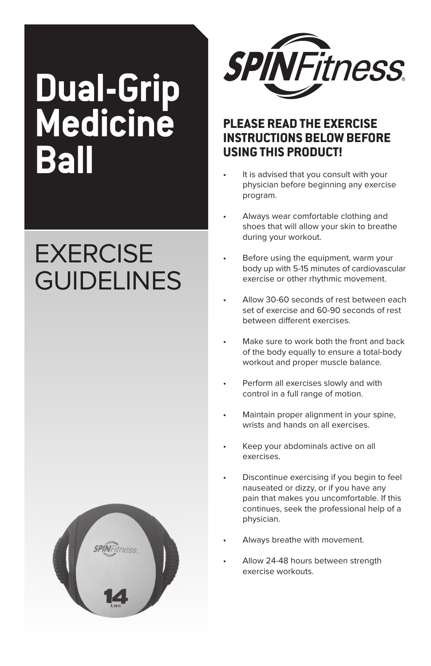# **Dual-Grip Medicine Ball**

# **EXERCISE GUIDELINES**





## **PLease read tHe exerCise instrUCtiOns BeLOW BeFOre UsinG tHis PrOdUCt!**

- It is advised that you consult with your physician before beginning any exercise program.
- Always wear comfortable clothing and shoes that will allow your skin to breathe during your workout.
- Before using the equipment, warm your body up with 5-15 minutes of cardiovascular exercise or other rhythmic movement.
- Allow 30-60 seconds of rest between each set of exercise and 60-90 seconds of rest between different exercises
- Make sure to work both the front and back of the body equally to ensure a total-body workout and proper muscle balance.
- Perform all exercises slowly and with control in a full range of motion.
- Maintain proper alignment in your spine, wrists and hands on all exercises.
- Keep your abdominals active on all exercises.
- Discontinue exercising if you begin to feel nauseated or dizzy, or if you have any pain that makes you uncomfortable. If this continues, seek the professional help of a physician.
- Always breathe with movement.
- Allow 24-48 hours between strength exercise workouts.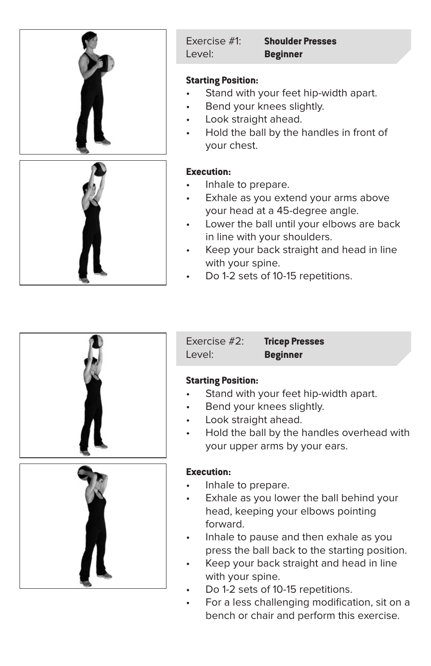

Exercise #1: **Shoulder Presses** Level: **Beginner**

#### **Starting Position:**

- Stand with your feet hip-width apart.
- Bend your knees slightly.
- Look straight ahead.
- Hold the ball by the handles in front of your chest.

#### **Execution:**

- Inhale to prepare.
- Exhale as you extend your arms above your head at a 45-degree angle.
- Lower the ball until your elbows are back in line with your shoulders.
- Keep your back straight and head in line with your spine.
- Do 1-2 sets of 10-15 repetitions.



Level: **Beginner**

Exercise #2: **Tricep Presses**

#### **Starting Position:**

- Stand with your feet hip-width apart.
- Bend your knees slightly.
- Look straight ahead.
- Hold the ball by the handles overhead with your upper arms by your ears.

#### **Execution:**

- Inhale to prepare.
- Exhale as you lower the ball behind your head, keeping your elbows pointing forward.
- Inhale to pause and then exhale as you press the ball back to the starting position.
- Keep your back straight and head in line with your spine.
- Do 1-2 sets of 10-15 repetitions.
- For a less challenging modification, sit on a bench or chair and perform this exercise.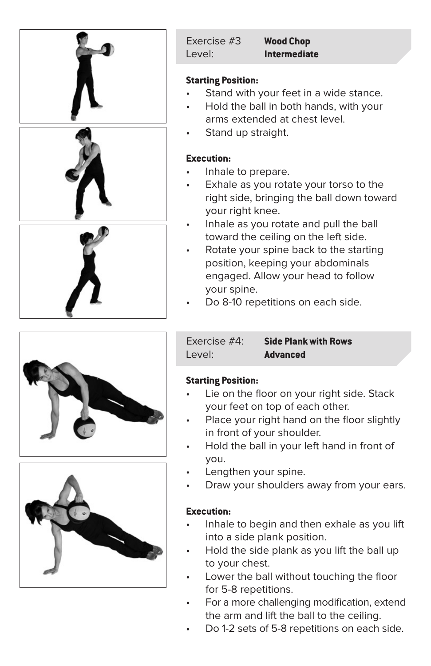

#### **Starting Position:**

- Stand with your feet in a wide stance.
- Hold the ball in both hands, with your arms extended at chest level.
- Stand up straight.

#### **Execution:**

- Inhale to prepare.
- Exhale as you rotate your torso to the right side, bringing the ball down toward your right knee.
- Inhale as you rotate and pull the ball toward the ceiling on the left side.
- Rotate your spine back to the starting position, keeping your abdominals engaged. Allow your head to follow your spine.
- Do 8-10 repetitions on each side.





Exercise #4: **Side Plank with Rows** Level: **Advanced**

#### **Starting Position:**

- Lie on the floor on your right side. Stack your feet on top of each other.
- Place your right hand on the floor slightly in front of your shoulder.
- • Hold the ball in your left hand in front of you.
- Lengthen your spine.
- Draw your shoulders away from your ears.

#### **Execution:**

- Inhale to begin and then exhale as you lift into a side plank position.
- Hold the side plank as you lift the ball up to your chest.
- Lower the ball without touching the floor for 5-8 repetitions.
- For a more challenging modification, extend the arm and lift the ball to the ceiling.
- Do 1-2 sets of 5-8 repetitions on each side.